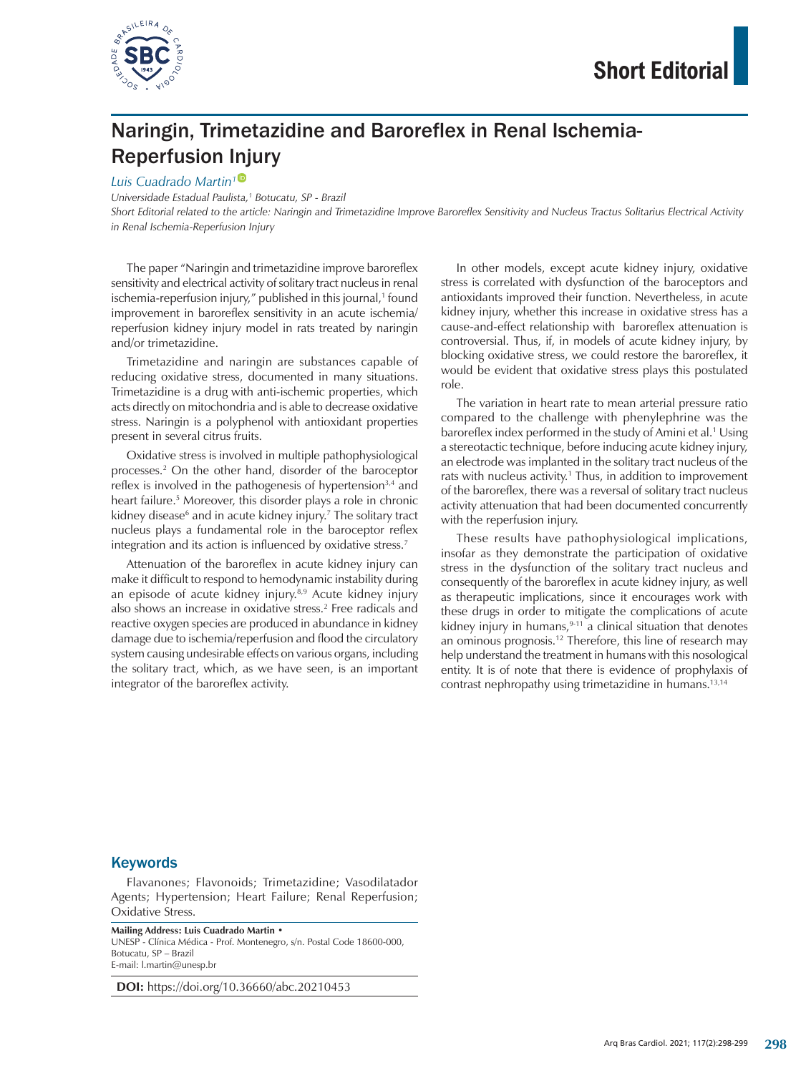

# Naringin, Trimetazidine and Baroreflex in Renal Ischemia-Reperfusion Injury

#### *Luis Cuadrado Martin[1](https://orcid.org/0000-0003-1435-7994)*

*Universidade Estadual Paulista,1 Botucatu, SP - Brazil*

*Short Editorial related to the article: Naringin and Trimetazidine Improve Baroreflex Sensitivity and Nucleus Tractus Solitarius Electrical Activity in Renal Ischemia-Reperfusion Injury*

The paper "Naringin and trimetazidine improve baroreflex sensitivity and electrical activity of solitary tract nucleus in renal ischemia-reperfusion injury," published in this journal,1 found improvement in baroreflex sensitivity in an acute ischemia/ reperfusion kidney injury model in rats treated by naringin and/or trimetazidine.

Trimetazidine and naringin are substances capable of reducing oxidative stress, documented in many situations. Trimetazidine is a drug with anti-ischemic properties, which acts directly on mitochondria and is able to decrease oxidative stress. Naringin is a polyphenol with antioxidant properties present in several citrus fruits.

Oxidative stress is involved in multiple pathophysiological processes.2 On the other hand, disorder of the baroceptor reflex is involved in the pathogenesis of hypertension $3,4$  and heart failure.5 Moreover, this disorder plays a role in chronic kidney disease<sup>6</sup> and in acute kidney injury.<sup>7</sup> The solitary tract nucleus plays a fundamental role in the baroceptor reflex integration and its action is influenced by oxidative stress.<sup>7</sup>

Attenuation of the baroreflex in acute kidney injury can make it difficult to respond to hemodynamic instability during an episode of acute kidney injury.<sup>8,9</sup> Acute kidney injury also shows an increase in oxidative stress.2 Free radicals and reactive oxygen species are produced in abundance in kidney damage due to ischemia/reperfusion and flood the circulatory system causing undesirable effects on various organs, including the solitary tract, which, as we have seen, is an important integrator of the baroreflex activity.

In other models, except acute kidney injury, oxidative stress is correlated with dysfunction of the baroceptors and antioxidants improved their function. Nevertheless, in acute kidney injury, whether this increase in oxidative stress has a cause-and-effect relationship with baroreflex attenuation is controversial. Thus, if, in models of acute kidney injury, by blocking oxidative stress, we could restore the baroreflex, it would be evident that oxidative stress plays this postulated role.

The variation in heart rate to mean arterial pressure ratio compared to the challenge with phenylephrine was the baroreflex index performed in the study of Amini et al.<sup>1</sup> Using a stereotactic technique, before inducing acute kidney injury, an electrode was implanted in the solitary tract nucleus of the rats with nucleus activity.<sup>1</sup> Thus, in addition to improvement of the baroreflex, there was a reversal of solitary tract nucleus activity attenuation that had been documented concurrently with the reperfusion injury.

These results have pathophysiological implications, insofar as they demonstrate the participation of oxidative stress in the dysfunction of the solitary tract nucleus and consequently of the baroreflex in acute kidney injury, as well as therapeutic implications, since it encourages work with these drugs in order to mitigate the complications of acute kidney injury in humans, $9-11$  a clinical situation that denotes an ominous prognosis.<sup>12</sup> Therefore, this line of research may help understand the treatment in humans with this nosological entity. It is of note that there is evidence of prophylaxis of contrast nephropathy using trimetazidine in humans.<sup>13,14</sup>

#### **Keywords**

Flavanones; Flavonoids; Trimetazidine; Vasodilatador Agents; Hypertension; Heart Failure; Renal Reperfusion; Oxidative Stress.

**Mailing Address: Luis Cuadrado Martin** • UNESP - Clínica Médica - Prof. Montenegro, s/n. Postal Code 18600-000, Botucatu, SP – Brazil E-mail: [l.martin@unesp.br](mailto:l.martin@unesp.br)

**DOI:** https://doi.org/10.36660/abc.20210453